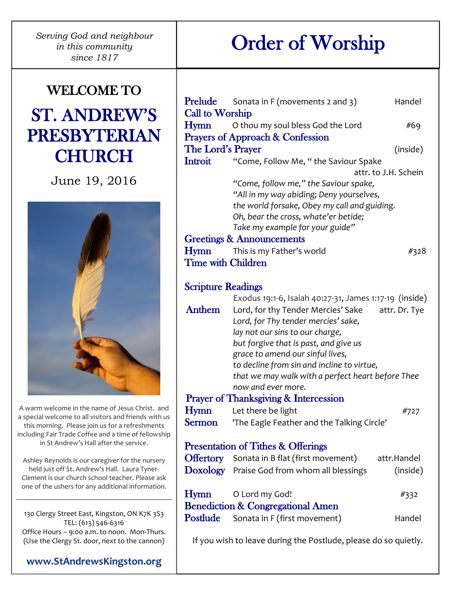*Serving God and neighbour in this community since 1817*

# WELCOME TO

# ST. ANDREW'S PRESBYTERIAN **CHURCH**

June 19, 2016



A warm welcome in the name of Jesus Christ. and a special welcome to all visitors and friends with us this morning. Please join us for a refreshments including Fair Trade Coffee and a time of fellowship in St Andrew's Hall after the service.

Ashley Reynolds is our caregiver for the nursery held just off St. Andrew's Hall. Laura Tyner-Clement is our church school teacher. Please ask one of the ushers for any additional information.

130 Clergy Street East, Kingston, ON K7K 3S3 TEL: (613) 546-6316 Office Hours – 9:00 a.m. to noon. Mon-Thurs. (Use the Clergy St. door, next to the cannon)

| Prelude                   | Sonata in F (movements 2 and 3)                                                                 | Handel        |  |
|---------------------------|-------------------------------------------------------------------------------------------------|---------------|--|
| <b>Call to Worship</b>    |                                                                                                 |               |  |
| Hymn                      | O thou my soul bless God the Lord                                                               | #69           |  |
|                           | <b>Prayers of Approach &amp; Confession</b>                                                     |               |  |
| The Lord's Prayer         |                                                                                                 | (inside)      |  |
| Introit                   | "Come, Follow Me, "the Saviour Spake                                                            |               |  |
|                           | attr. to J.H. Schein                                                                            |               |  |
|                           | "Come, follow me," the Saviour spake,                                                           |               |  |
|                           | "All in my way abiding; Deny yourselves,                                                        |               |  |
|                           | the world forsake, Obey my call and guiding.                                                    |               |  |
|                           | Oh, bear the cross, whate'er betide;                                                            |               |  |
|                           | Take my example for your guide"                                                                 |               |  |
|                           | <b>Greetings &amp; Announcements</b>                                                            |               |  |
| Hymn                      | This is my Father's world                                                                       | #328          |  |
| <b>Time with Children</b> |                                                                                                 |               |  |
|                           |                                                                                                 |               |  |
| <b>Scripture Readings</b> |                                                                                                 |               |  |
|                           | Exodus 19:1-6, Isaiah 40:27-31, James 1:17-19 (inside)                                          |               |  |
| Anthem                    | Lord, for thy Tender Mercies' Sake                                                              | attr. Dr. Tye |  |
|                           | Lord, for Thy tender mercies' sake,                                                             |               |  |
|                           | lay not our sins to our charge,                                                                 |               |  |
|                           | but forgive that is past, and give us                                                           |               |  |
|                           | grace to amend our sinful lives,                                                                |               |  |
|                           | to decline from sin and incline to virtue,<br>that we may walk with a perfect heart before Thee |               |  |
|                           | now and ever more.                                                                              |               |  |
|                           | <b>Prayer of Thanksgiving &amp; Intercession</b>                                                |               |  |
| Hymn                      | Let there be light                                                                              | #727          |  |
| <b>Sermon</b>             | 'The Eagle Feather and the Talking Circle'                                                      |               |  |
|                           |                                                                                                 |               |  |
|                           | <b>Presentation of Tithes &amp; Offerings</b>                                                   |               |  |
|                           | <b>Offertory</b> Sonata in B flat (first movement)                                              | attr.Handel   |  |
| <b>Doxology</b>           | Praise God from whom all blessings                                                              | (inside)      |  |
|                           |                                                                                                 |               |  |
| Hymn                      | O Lord my God!                                                                                  | #332          |  |
|                           | <b>Benediction &amp; Congregational Amen</b>                                                    |               |  |
| Postlude                  | Sonata in F (first movement)                                                                    | Handel        |  |
|                           |                                                                                                 |               |  |
|                           | If you wish to leave during the Postlude, please do so quietly.                                 |               |  |

# Order of Worship

**[www.StAndrewsKingston.org](http://www.standrewskingston.org/)**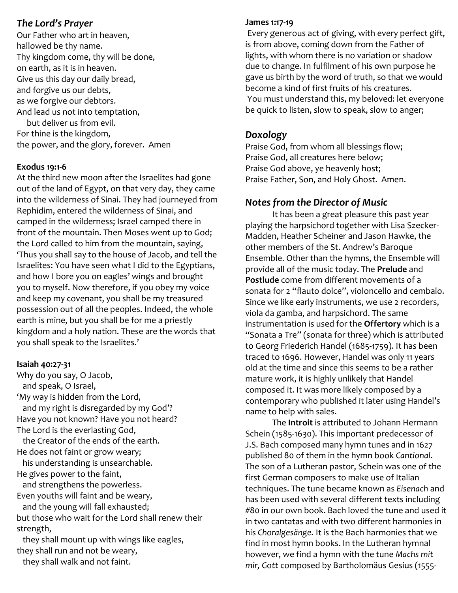### *The Lord's Prayer*

Our Father who art in heaven, hallowed be thy name. Thy kingdom come, thy will be done, on earth, as it is in heaven. Give us this day our daily bread, and forgive us our debts, as we forgive our debtors. And lead us not into temptation,

but deliver us from evil. For thine is the kingdom, the power, and the glory, forever. Amen

#### **Exodus 19:1-6**

At the third new moon after the Israelites had gone out of the land of Egypt, on that very day, they came into the wilderness of Sinai. They had journeyed from Rephidim, entered the wilderness of Sinai, and camped in the wilderness; Israel camped there in front of the mountain. Then Moses went up to God; the Lord called to him from the mountain, saying, 'Thus you shall say to the house of Jacob, and tell the Israelites: You have seen what I did to the Egyptians, and how I bore you on eagles' wings and brought you to myself. Now therefore, if you obey my voice and keep my covenant, you shall be my treasured possession out of all the peoples. Indeed, the whole earth is mine, but you shall be for me a priestly kingdom and a holy nation. These are the words that you shall speak to the Israelites.'

#### **Isaiah 40:27-31**

Why do you say, O Jacob, and speak, O Israel, 'My way is hidden from the Lord, and my right is disregarded by my God'? Have you not known? Have you not heard? The Lord is the everlasting God, the Creator of the ends of the earth. He does not faint or grow weary;

 his understanding is unsearchable. He gives power to the faint,

 and strengthens the powerless. Even youths will faint and be weary,

 and the young will fall exhausted; but those who wait for the Lord shall renew their strength,

 they shall mount up with wings like eagles, they shall run and not be weary,

they shall walk and not faint.

#### **James 1:17-19**

Every generous act of giving, with every perfect gift, is from above, coming down from the Father of lights, with whom there is no variation or shadow due to change. In fulfilment of his own purpose he gave us birth by the word of truth, so that we would become a kind of first fruits of his creatures. You must understand this, my beloved: let everyone be quick to listen, slow to speak, slow to anger;

### *Doxology*

Praise God, from whom all blessings flow; Praise God, all creatures here below; Praise God above, ye heavenly host; Praise Father, Son, and Holy Ghost. Amen.

## *Notes from the Director of Music*

It has been a great pleasure this past year playing the harpsichord together with Lisa Szecker-Madden, Heather Scheiner and Jason Hawke, the other members of the St. Andrew's Baroque Ensemble. Other than the hymns, the Ensemble will provide all of the music today. The **Prelude** and **Postlude** come from different movements of a sonata for 2 "flauto dolce", violoncello and cembalo. Since we like early instruments, we use 2 recorders, viola da gamba, and harpsichord. The same instrumentation is used for the **Offertory** which is a "Sonata a Tre" (sonata for three) which is attributed to Georg Friederich Handel (1685-1759). It has been traced to 1696. However, Handel was only 11 years old at the time and since this seems to be a rather mature work, it is highly unlikely that Handel composed it. It was more likely composed by a contemporary who published it later using Handel's name to help with sales.

The **Introit** is attributed to Johann Hermann Schein (1585-1630). This important predecessor of J.S. Bach composed many hymn tunes and in 1627 published 80 of them in the hymn book *Cantional*. The son of a Lutheran pastor, Schein was one of the first German composers to make use of Italian techniques. The tune became known as *Eisenach* and has been used with several different texts including #80 in our own book. Bach loved the tune and used it in two cantatas and with two different harmonies in his *Choralgesänge.* It is the Bach harmonies that we find in most hymn books. In the Lutheran hymnal however, we find a hymn with the tune *Machs mit mir, Gott* composed by Bartholomäus Gesius (1555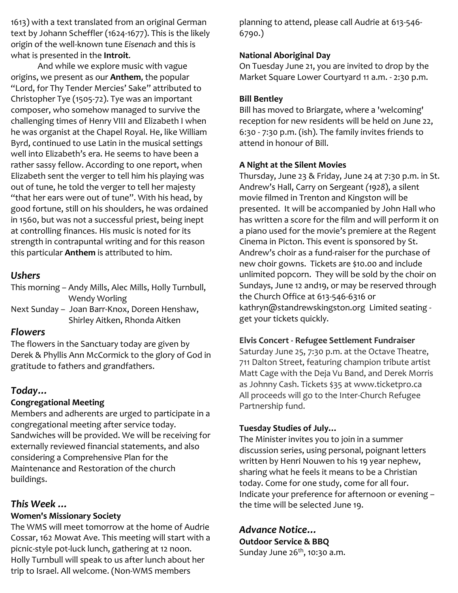1613) with a text translated from an original German text by Johann Scheffler (1624-1677). This is the likely origin of the well-known tune *Eisenach* and this is what is presented in the **Introit**.

And while we explore music with vague origins, we present as our **Anthem**, the popular "Lord, for Thy Tender Mercies' Sake" attributed to Christopher Tye (1505-72). Tye was an important composer, who somehow managed to survive the challenging times of Henry VIII and Elizabeth I when he was organist at the Chapel Royal. He, like William Byrd, continued to use Latin in the musical settings well into Elizabeth's era. He seems to have been a rather sassy fellow. According to one report, when Elizabeth sent the verger to tell him his playing was out of tune, he told the verger to tell her majesty "that her ears were out of tune". With his head, by good fortune, still on his shoulders, he was ordained in 1560, but was not a successful priest, being inept at controlling finances. His music is noted for its strength in contrapuntal writing and for this reason this particular **Anthem** is attributed to him.

### *Ushers*

This morning – Andy Mills, Alec Mills, Holly Turnbull, Wendy Worling

Next Sunday – Joan Barr-Knox, Doreen Henshaw, Shirley Aitken, Rhonda Aitken

## *Flowers*

The flowers in the Sanctuary today are given by Derek & Phyllis Ann McCormick to the glory of God in gratitude to fathers and grandfathers.

# *Today…*

# **Congregational Meeting**

Members and adherents are urged to participate in a congregational meeting after service today. Sandwiches will be provided. We will be receiving for externally reviewed financial statements, and also considering a Comprehensive Plan for the Maintenance and Restoration of the church buildings.

# *This Week …*

# **Women's Missionary Society**

The WMS will meet tomorrow at the home of Audrie Cossar, 162 Mowat Ave. This meeting will start with a picnic-style pot-luck lunch, gathering at 12 noon. Holly Turnbull will speak to us after lunch about her trip to Israel. All welcome. (Non-WMS members

planning to attend, please call Audrie at [613-546-](tel:613-546-6790) [6790.](tel:613-546-6790))

## **National Aboriginal Day**

On Tuesday June 21, you are invited to drop by the Market Square Lower Courtyard 11 a.m. - 2:30 p.m.

## **Bill Bentley**

Bill has moved to Briargate, where a 'welcoming' reception for new residents will be held on June 22, 6:30 - 7:30 p.m. (ish). The family invites friends to attend in honour of Bill.

# **A Night at the Silent Movies**

Thursday, June 23 & Friday, June 24 at 7:30 p.m. in St. Andrew's Hall, Carry on Sergeant *(1928*), a silent movie filmed in Trenton and Kingston will be presented. It will be accompanied by John Hall who has written a score for the film and will perform it on a piano used for the movie's premiere at the Regent Cinema in Picton. This event is sponsored by St. Andrew's choir as a fund-raiser for the purchase of new choir gowns. Tickets are \$10.00 and include unlimited popcorn. They will be sold by the choir on Sundays, June 12 and19, or may be reserved through the Church Office at 613-546-6316 or [kathryn@standrewskingston.org](mailto:kathryn@standrewskingston.org) Limited seating get your tickets quickly.

# **Elvis Concert - Refugee Settlement Fundraiser**

Saturday June 25, 7:30 p.m. at the Octave Theatre, 711 Dalton Street, featuring champion tribute artist Matt Cage with the Deja Vu Band, and Derek Morris as Johnny Cash. Tickets \$35 at www.ticketpro.ca All proceeds will go to the Inter-Church Refugee Partnership fund.

# **Tuesday Studies of July…**

The Minister invites you to join in a summer discussion series, using personal, poignant letters written by Henri Nouwen to his 19 year nephew, sharing what he feels it means to be a Christian today. Come for one study, come for all four. Indicate your preference for afternoon or evening – the time will be selected June 19.

# *Advance Notice…*

**Outdoor Service & BBQ** Sunday June  $26<sup>th</sup>$ , 10:30 a.m.